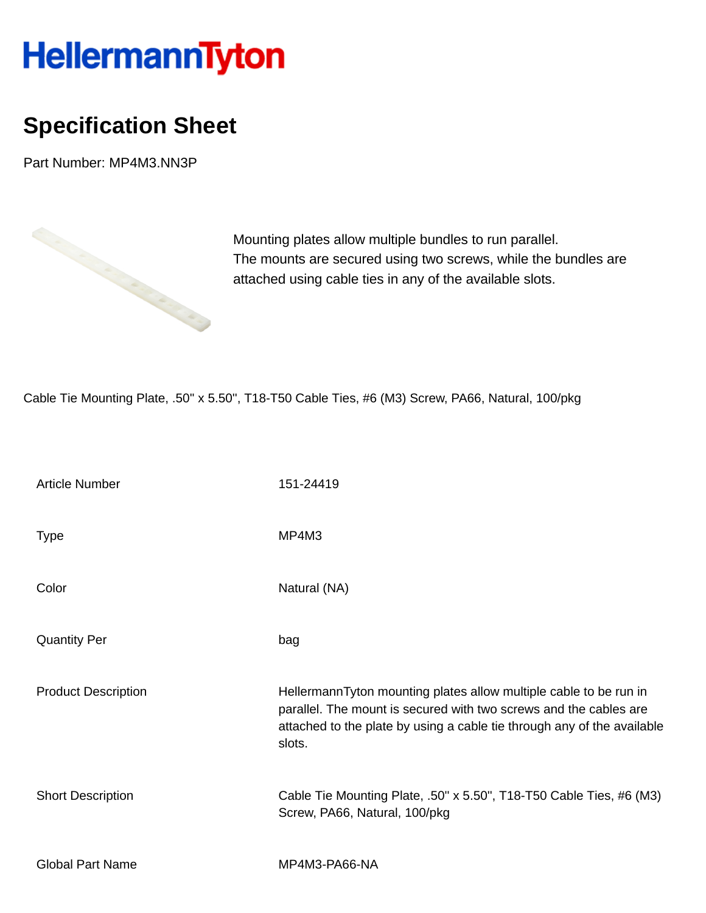## HellermannTyton

## **Specification Sheet**

Part Number: MP4M3.NN3P



Mounting plates allow multiple bundles to run parallel. The mounts are secured using two screws, while the bundles are attached using cable ties in any of the available slots.

Cable Tie Mounting Plate, .50'' x 5.50'', T18-T50 Cable Ties, #6 (M3) Screw, PA66, Natural, 100/pkg

| <b>Article Number</b>      | 151-24419                                                                                                                                                                                                                   |
|----------------------------|-----------------------------------------------------------------------------------------------------------------------------------------------------------------------------------------------------------------------------|
| <b>Type</b>                | MP4M3                                                                                                                                                                                                                       |
| Color                      | Natural (NA)                                                                                                                                                                                                                |
| <b>Quantity Per</b>        | bag                                                                                                                                                                                                                         |
| <b>Product Description</b> | HellermannTyton mounting plates allow multiple cable to be run in<br>parallel. The mount is secured with two screws and the cables are<br>attached to the plate by using a cable tie through any of the available<br>slots. |
| <b>Short Description</b>   | Cable Tie Mounting Plate, .50" x 5.50", T18-T50 Cable Ties, #6 (M3)<br>Screw, PA66, Natural, 100/pkg                                                                                                                        |
| <b>Global Part Name</b>    | MP4M3-PA66-NA                                                                                                                                                                                                               |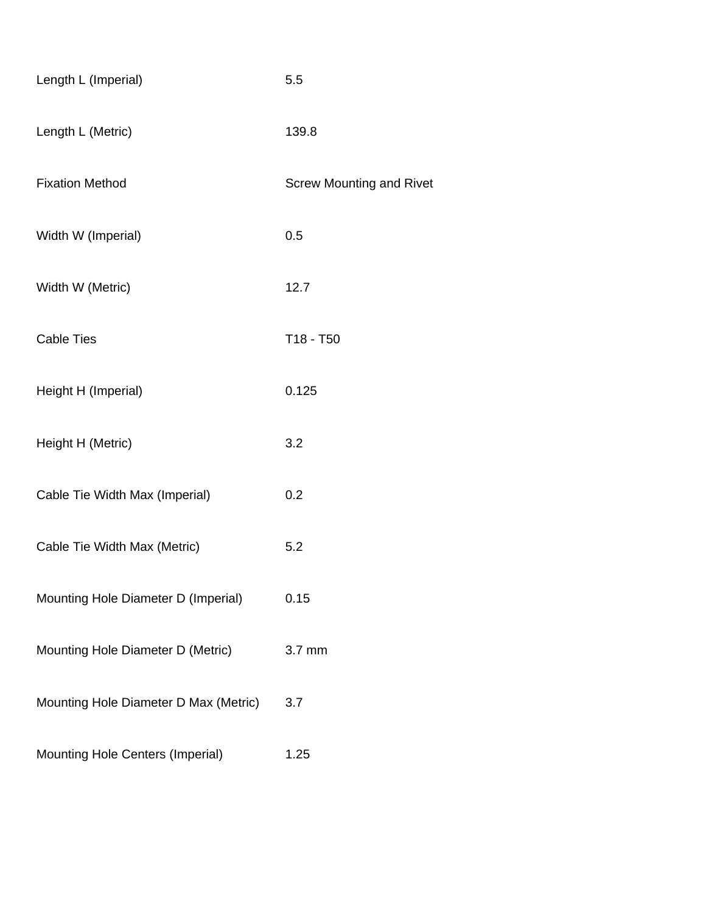| Length L (Imperial)                   | 5.5                             |
|---------------------------------------|---------------------------------|
| Length L (Metric)                     | 139.8                           |
| <b>Fixation Method</b>                | <b>Screw Mounting and Rivet</b> |
| Width W (Imperial)                    | 0.5                             |
| Width W (Metric)                      | 12.7                            |
| <b>Cable Ties</b>                     | T18 - T50                       |
| Height H (Imperial)                   | 0.125                           |
| Height H (Metric)                     | 3.2                             |
| Cable Tie Width Max (Imperial)        | 0.2                             |
| Cable Tie Width Max (Metric)          | 5.2                             |
| Mounting Hole Diameter D (Imperial)   | 0.15                            |
| Mounting Hole Diameter D (Metric)     | 3.7 mm                          |
| Mounting Hole Diameter D Max (Metric) | 3.7                             |
| Mounting Hole Centers (Imperial)      | 1.25                            |